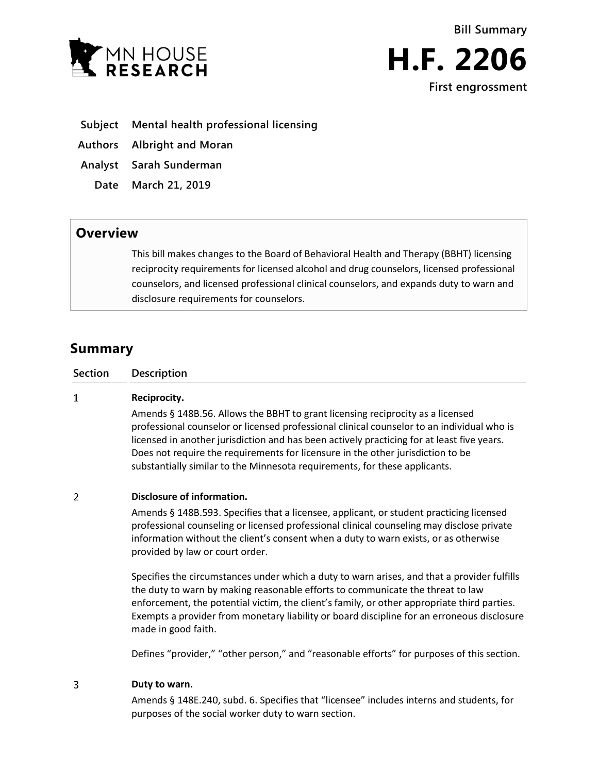



- **Subject Mental health professional licensing**
- **Authors Albright and Moran**
- **Analyst Sarah Sunderman**
- **Date March 21, 2019**

## **Overview**

This bill makes changes to the Board of Behavioral Health and Therapy (BBHT) licensing reciprocity requirements for licensed alcohol and drug counselors, licensed professional counselors, and licensed professional clinical counselors, and expands duty to warn and disclosure requirements for counselors.

# **Summary**

| Section | <b>Description</b> |
|---------|--------------------|
|         |                    |

#### $\mathbf{1}$ **Reciprocity.**

Amends § 148B.56. Allows the BBHT to grant licensing reciprocity as a licensed professional counselor or licensed professional clinical counselor to an individual who is licensed in another jurisdiction and has been actively practicing for at least five years. Does not require the requirements for licensure in the other jurisdiction to be substantially similar to the Minnesota requirements, for these applicants.

#### $\overline{2}$ **Disclosure of information.**

Amends § 148B.593. Specifies that a licensee, applicant, or student practicing licensed professional counseling or licensed professional clinical counseling may disclose private information without the client's consent when a duty to warn exists, or as otherwise provided by law or court order.

Specifies the circumstances under which a duty to warn arises, and that a provider fulfills the duty to warn by making reasonable efforts to communicate the threat to law enforcement, the potential victim, the client's family, or other appropriate third parties. Exempts a provider from monetary liability or board discipline for an erroneous disclosure made in good faith.

Defines "provider," "other person," and "reasonable efforts" for purposes of this section.

#### 3 **Duty to warn.**

Amends § 148E.240, subd. 6. Specifies that "licensee" includes interns and students, for purposes of the social worker duty to warn section.